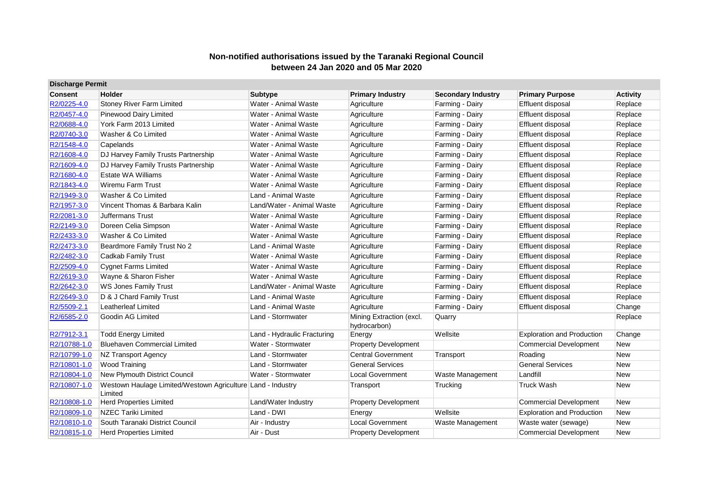| <b>Discharge Permit</b> |                                                                        |                             |                                          |                           |                                   |                 |
|-------------------------|------------------------------------------------------------------------|-----------------------------|------------------------------------------|---------------------------|-----------------------------------|-----------------|
| <b>Consent</b>          | Holder                                                                 | <b>Subtype</b>              | <b>Primary Industry</b>                  | <b>Secondary Industry</b> | <b>Primary Purpose</b>            | <b>Activity</b> |
| R2/0225-4.0             | <b>Stoney River Farm Limited</b>                                       | Water - Animal Waste        | Agriculture                              | Farming - Dairy           | Effluent disposal                 | Replace         |
| R2/0457-4.0             | Pinewood Dairy Limited                                                 | Water - Animal Waste        | Agriculture                              | Farming - Dairy           | Effluent disposal                 | Replace         |
| R2/0688-4.0             | York Farm 2013 Limited                                                 | Water - Animal Waste        | Agriculture                              | Farming - Dairy           | Effluent disposal                 | Replace         |
| R2/0740-3.0             | Washer & Co Limited                                                    | Water - Animal Waste        | Agriculture                              | Farming - Dairy           | Effluent disposal                 | Replace         |
| R2/1548-4.0             | Capelands                                                              | Water - Animal Waste        | Agriculture                              | Farming - Dairy           | Effluent disposal                 | Replace         |
| R2/1608-4.0             | DJ Harvey Family Trusts Partnership                                    | Water - Animal Waste        | Agriculture                              | Farming - Dairy           | Effluent disposal                 | Replace         |
| R2/1609-4.0             | DJ Harvey Family Trusts Partnership                                    | Water - Animal Waste        | Agriculture                              | Farming - Dairy           | Effluent disposal                 | Replace         |
| R2/1680-4.0             | <b>Estate WA Williams</b>                                              | Water - Animal Waste        | Agriculture                              | Farming - Dairy           | Effluent disposal                 | Replace         |
| R2/1843-4.0             | <b>Wiremu Farm Trust</b>                                               | Water - Animal Waste        | Agriculture                              | Farming - Dairy           | Effluent disposal                 | Replace         |
| R2/1949-3.0             | Washer & Co Limited                                                    | Land - Animal Waste         | Agriculture                              | Farming - Dairy           | Effluent disposal                 | Replace         |
| R2/1957-3.0             | Vincent Thomas & Barbara Kalin                                         | Land/Water - Animal Waste   | Agriculture                              | Farming - Dairy           | Effluent disposal                 | Replace         |
| R2/2081-3.0             | <b>Juffermans Trust</b>                                                | Water - Animal Waste        | Agriculture                              | Farming - Dairy           | Effluent disposal                 | Replace         |
| R2/2149-3.0             | Doreen Celia Simpson                                                   | Water - Animal Waste        | Agriculture                              | Farming - Dairy           | Effluent disposal                 | Replace         |
| R2/2433-3.0             | Washer & Co Limited                                                    | Water - Animal Waste        | Agriculture                              | Farming - Dairy           | Effluent disposal                 | Replace         |
| R2/2473-3.0             | Beardmore Family Trust No 2                                            | Land - Animal Waste         | Agriculture                              | Farming - Dairy           | Effluent disposal                 | Replace         |
| R2/2482-3.0             | Cadkab Family Trust                                                    | Water - Animal Waste        | Agriculture                              | Farming - Dairy           | Effluent disposal                 | Replace         |
| R2/2509-4.0             | <b>Cygnet Farms Limited</b>                                            | Water - Animal Waste        | Agriculture                              | Farming - Dairy           | Effluent disposal                 | Replace         |
| R2/2619-3.0             | Wayne & Sharon Fisher                                                  | Water - Animal Waste        | Agriculture                              | Farming - Dairy           | Effluent disposal                 | Replace         |
| R2/2642-3.0             | <b>WS Jones Family Trust</b>                                           | Land/Water - Animal Waste   | Agriculture                              | Farming - Dairy           | Effluent disposal                 | Replace         |
| R2/2649-3.0             | D & J Chard Family Trust                                               | Land - Animal Waste         | Agriculture                              | Farming - Dairy           | Effluent disposal                 | Replace         |
| R2/5509-2.1             | Leatherleaf Limited                                                    | Land - Animal Waste         | Agriculture                              | Farming - Dairy           | Effluent disposal                 | Change          |
| R2/6585-2.0             | Goodin AG Limited                                                      | Land - Stormwater           | Mining Extraction (excl.<br>hydrocarbon) | Quarry                    |                                   | Replace         |
| R2/7912-3.1             | <b>Todd Energy Limited</b>                                             | Land - Hydraulic Fracturing | Energy                                   | Wellsite                  | <b>Exploration and Production</b> | Change          |
| R2/10788-1.0            | <b>Bluehaven Commercial Limited</b>                                    | Water - Stormwater          | <b>Property Development</b>              |                           | <b>Commercial Development</b>     | <b>New</b>      |
| R2/10799-1.0            | NZ Transport Agency                                                    | Land - Stormwater           | <b>Central Government</b>                | Transport                 | Roading                           | <b>New</b>      |
| R2/10801-1.0            | Wood Training                                                          | Land - Stormwater           | <b>General Services</b>                  |                           | <b>General Services</b>           | <b>New</b>      |
| R2/10804-1.0            | <b>New Plymouth District Council</b>                                   | Water - Stormwater          | <b>Local Government</b>                  | Waste Management          | Landfill                          | <b>New</b>      |
| R2/10807-1.0            | Westown Haulage Limited/Westown Agriculture Land - Industry<br>Limited |                             | Transport                                | Trucking                  | <b>Truck Wash</b>                 | <b>New</b>      |
| R2/10808-1.0            | <b>Herd Properties Limited</b>                                         | Land/Water Industry         | <b>Property Development</b>              |                           | <b>Commercial Development</b>     | <b>New</b>      |
| R2/10809-1.0            | <b>NZEC Tariki Limited</b>                                             | Land - DWI                  | Energy                                   | Wellsite                  | <b>Exploration and Production</b> | <b>New</b>      |
| R2/10810-1.0            | South Taranaki District Council                                        | Air - Industry              | <b>Local Government</b>                  | Waste Management          | Waste water (sewage)              | <b>New</b>      |
| R2/10815-1.0            | <b>Herd Properties Limited</b>                                         | Air - Dust                  | <b>Property Development</b>              |                           | <b>Commercial Development</b>     | New             |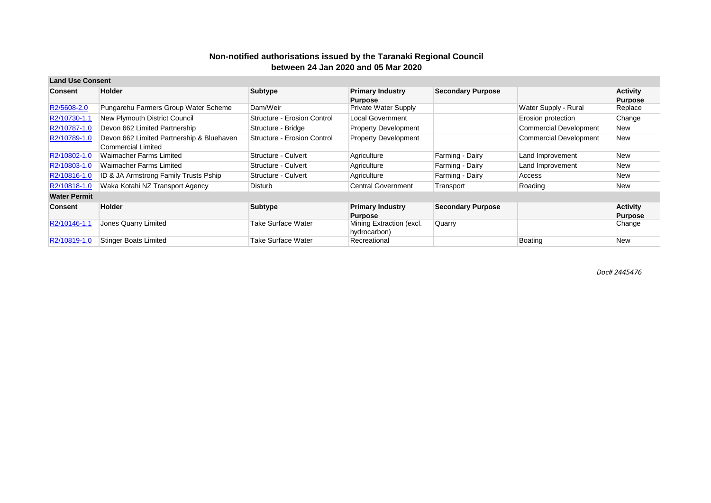| <b>Land Use Consent</b> |                                           |                             |                             |                          |                        |                 |
|-------------------------|-------------------------------------------|-----------------------------|-----------------------------|--------------------------|------------------------|-----------------|
| Consent                 | <b>Holder</b>                             | <b>Subtype</b>              | <b>Primary Industry</b>     | <b>Secondary Purpose</b> |                        | <b>Activity</b> |
|                         |                                           |                             | <b>Purpose</b>              |                          |                        | <b>Purpose</b>  |
| R2/5608-2.0             | Pungarehu Farmers Group Water Scheme      | Dam/Weir                    | <b>Private Water Supply</b> |                          | Water Supply - Rural   | Replace         |
| R2/10730-1.1            | New Plymouth District Council             | Structure - Erosion Control | <b>Local Government</b>     |                          | Erosion protection     | Change          |
| R2/10787-1.0            | Devon 662 Limited Partnership             | Structure - Bridge          | <b>Property Development</b> |                          | Commercial Development | New             |
| R2/10789-1.0            | Devon 662 Limited Partnership & Bluehaven | Structure - Erosion Control | <b>Property Development</b> |                          | Commercial Development | New             |
|                         | Commercial Limited                        |                             |                             |                          |                        |                 |
| R2/10802-1.0            | Waimacher Farms Limited                   | Structure - Culvert         | Agriculture                 | Farming - Dairy          | Land Improvement       | New             |
| R2/10803-1.0            | Waimacher Farms Limited                   | Structure - Culvert         | Agriculture                 | Farming - Dairy          | Land Improvement       | New             |
| R2/10816-1.0            | ID & JA Armstrong Family Trusts Pship     | Structure - Culvert         | Agriculture                 | Farming - Dairy          | Access                 | New             |
| R2/10818-1.0            | Waka Kotahi NZ Transport Agency           | Disturb                     | <b>Central Government</b>   | Transport                | Roading                | New             |
| <b>Water Permit</b>     |                                           |                             |                             |                          |                        |                 |
| Consent                 | <b>Holder</b>                             | <b>Subtype</b>              | <b>Primary Industry</b>     | <b>Secondary Purpose</b> |                        | <b>Activity</b> |
|                         |                                           |                             | <b>Purpose</b>              |                          |                        | <b>Purpose</b>  |
| R2/10146-1.1            | Jones Quarry Limited                      | Take Surface Water          | Mining Extraction (excl.    | Quarry                   |                        | Change          |
|                         |                                           |                             | hydrocarbon)                |                          |                        |                 |
| R2/10819-1.0            | <b>Stinger Boats Limited</b>              | Take Surface Water          | Recreational                |                          | Boating                | New             |

*Doc# 2445476*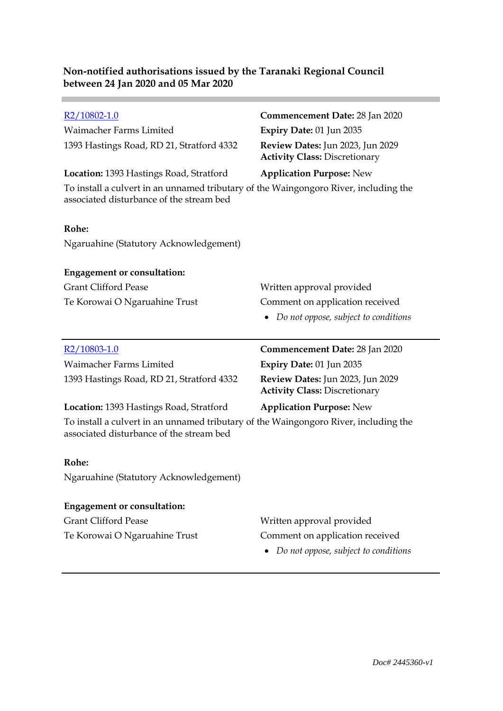| R <sub>2</sub> /10802-1.0                                                                                                        | Commencement Date: 28 Jan 2020                                           |
|----------------------------------------------------------------------------------------------------------------------------------|--------------------------------------------------------------------------|
| Waimacher Farms Limited                                                                                                          | Expiry Date: 01 Jun 2035                                                 |
| 1393 Hastings Road, RD 21, Stratford 4332                                                                                        | Review Dates: Jun 2023, Jun 2029<br><b>Activity Class: Discretionary</b> |
| Location: 1393 Hastings Road, Stratford                                                                                          | <b>Application Purpose: New</b>                                          |
| To install a culvert in an unnamed tributary of the Waingongoro River, including the<br>associated disturbance of the stream bed |                                                                          |
| Rohe:                                                                                                                            |                                                                          |
| Ngaruahine (Statutory Acknowledgement)                                                                                           |                                                                          |
| <b>Engagement or consultation:</b>                                                                                               |                                                                          |
| <b>Grant Clifford Pease</b>                                                                                                      | Written approval provided                                                |
| Te Korowai O Ngaruahine Trust                                                                                                    | Comment on application received                                          |
|                                                                                                                                  | Do not oppose, subject to conditions                                     |
|                                                                                                                                  |                                                                          |
|                                                                                                                                  |                                                                          |
| R <sub>2</sub> /10803-1.0                                                                                                        | Commencement Date: 28 Jan 2020                                           |
| Waimacher Farms Limited                                                                                                          | Expiry Date: 01 Jun 2035                                                 |
| 1393 Hastings Road, RD 21, Stratford 4332                                                                                        | Review Dates: Jun 2023, Jun 2029<br><b>Activity Class: Discretionary</b> |
| Location: 1393 Hastings Road, Stratford                                                                                          | <b>Application Purpose: New</b>                                          |
| To install a culvert in an unnamed tributary of the Waingongoro River, including the<br>associated disturbance of the stream bed |                                                                          |
| Rohe:                                                                                                                            |                                                                          |
| Ngaruahine (Statutory Acknowledgement)                                                                                           |                                                                          |
| <b>Engagement or consultation:</b>                                                                                               |                                                                          |
| <b>Grant Clifford Pease</b>                                                                                                      | Written approval provided                                                |

*Do not oppose, subject to conditions*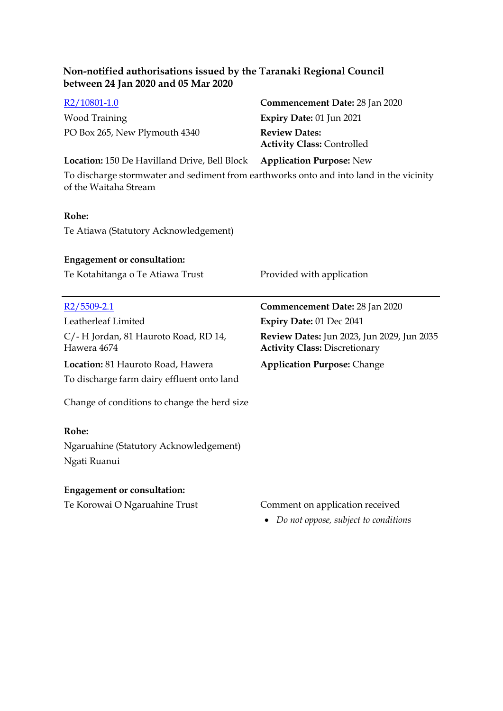| Non-notified authorisations issued by the Taranaki Regional Council<br>between 24 Jan 2020 and 05 Mar 2020       |                                                                                    |
|------------------------------------------------------------------------------------------------------------------|------------------------------------------------------------------------------------|
| R <sub>2</sub> /10801-1.0                                                                                        | <b>Commencement Date: 28 Jan 2020</b>                                              |
| <b>Wood Training</b>                                                                                             | Expiry Date: 01 Jun 2021                                                           |
| PO Box 265, New Plymouth 4340                                                                                    | <b>Review Dates:</b><br><b>Activity Class: Controlled</b>                          |
| <b>Location:</b> 150 De Havilland Drive, Bell Block                                                              | <b>Application Purpose: New</b>                                                    |
| To discharge stormwater and sediment from earthworks onto and into land in the vicinity<br>of the Waitaha Stream |                                                                                    |
| Rohe:                                                                                                            |                                                                                    |
| Te Atiawa (Statutory Acknowledgement)                                                                            |                                                                                    |
| <b>Engagement or consultation:</b>                                                                               |                                                                                    |
| Te Kotahitanga o Te Atiawa Trust                                                                                 | Provided with application                                                          |
|                                                                                                                  |                                                                                    |
| $R2/5509-2.1$                                                                                                    | Commencement Date: 28 Jan 2020                                                     |
| Leatherleaf Limited                                                                                              | Expiry Date: 01 Dec 2041                                                           |
| C/-H Jordan, 81 Hauroto Road, RD 14,<br>Hawera 4674                                                              | Review Dates: Jun 2023, Jun 2029, Jun 2035<br><b>Activity Class: Discretionary</b> |
| Location: 81 Hauroto Road, Hawera<br>To discharge farm dairy effluent onto land                                  | <b>Application Purpose: Change</b>                                                 |
| Change of conditions to change the herd size                                                                     |                                                                                    |
| Rohe:<br>Ngaruahine (Statutory Acknowledgement)                                                                  |                                                                                    |
| Ngati Ruanui                                                                                                     |                                                                                    |
| <b>Engagement or consultation:</b>                                                                               |                                                                                    |
| Te Korowai O Ngaruahine Trust                                                                                    | Comment on application received<br>Do not oppose, subject to conditions            |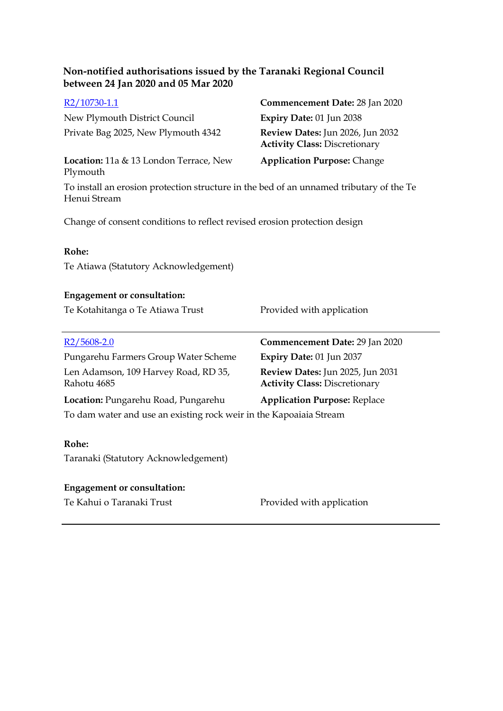| $R2/10730-1.1$                                                                                          | Commencement Date: 28 Jan 2020                                           |
|---------------------------------------------------------------------------------------------------------|--------------------------------------------------------------------------|
| New Plymouth District Council                                                                           | Expiry Date: 01 Jun 2038                                                 |
| Private Bag 2025, New Plymouth 4342                                                                     | Review Dates: Jun 2026, Jun 2032<br><b>Activity Class: Discretionary</b> |
| Location: 11a & 13 London Terrace, New<br>Plymouth                                                      | <b>Application Purpose: Change</b>                                       |
| To install an erosion protection structure in the bed of an unnamed tributary of the Te<br>Henui Stream |                                                                          |
| Change of consent conditions to reflect revised erosion protection design                               |                                                                          |

#### **Rohe:**

Te Atiawa (Statutory Acknowledgement)

# **Engagement or consultation:**

Te Kotahitanga o Te Atiawa Trust Provided with application

| R <sub>2</sub> /5608-2.0                                           | Commencement Date: 29 Jan 2020                                           |
|--------------------------------------------------------------------|--------------------------------------------------------------------------|
| Pungarehu Farmers Group Water Scheme                               | Expiry Date: 01 Jun 2037                                                 |
| Len Adamson, 109 Harvey Road, RD 35,<br>Rahotu 4685                | Review Dates: Jun 2025, Jun 2031<br><b>Activity Class: Discretionary</b> |
| <b>Location:</b> Pungarehu Road, Pungarehu                         | <b>Application Purpose: Replace</b>                                      |
| To dam water and use an existing rock weir in the Kapoaiaia Stream |                                                                          |
|                                                                    |                                                                          |

### **Rohe:**

Taranaki (Statutory Acknowledgement)

# **Engagement or consultation:**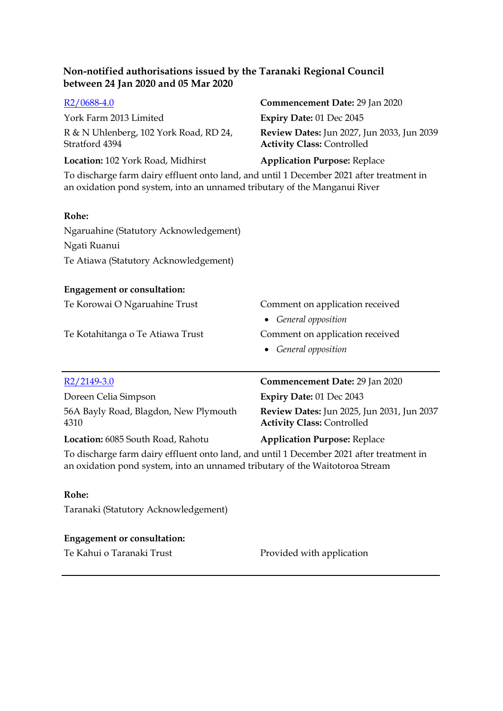| R2/0688-4.0                                                                                                                                                           | Commencement Date: 29 Jan 2020                                                  |
|-----------------------------------------------------------------------------------------------------------------------------------------------------------------------|---------------------------------------------------------------------------------|
| York Farm 2013 Limited                                                                                                                                                | Expiry Date: 01 Dec 2045                                                        |
| R & N Uhlenberg, 102 York Road, RD 24,<br>Stratford 4394                                                                                                              | Review Dates: Jun 2027, Jun 2033, Jun 2039<br><b>Activity Class: Controlled</b> |
| Location: 102 York Road, Midhirst                                                                                                                                     | <b>Application Purpose: Replace</b>                                             |
| To discharge farm dairy effluent onto land, and until 1 December 2021 after treatment in<br>an oxidation pond system, into an unnamed tributary of the Manganui River |                                                                                 |
| Rohe:                                                                                                                                                                 |                                                                                 |
| Ngaruahine (Statutory Acknowledgement)                                                                                                                                |                                                                                 |
| Ngati Ruanui                                                                                                                                                          |                                                                                 |
| Te Atiawa (Statutory Acknowledgement)                                                                                                                                 |                                                                                 |
| <b>Engagement or consultation:</b>                                                                                                                                    |                                                                                 |
| Te Korowai O Ngaruahine Trust                                                                                                                                         | Comment on application received                                                 |
|                                                                                                                                                                       | General opposition<br>$\bullet$                                                 |
| Te Kotahitanga o Te Atiawa Trust                                                                                                                                      | Comment on application received                                                 |
|                                                                                                                                                                       | General opposition<br>$\bullet$                                                 |
|                                                                                                                                                                       |                                                                                 |
| R2/2149-3.0                                                                                                                                                           | Commencement Date: 29 Jan 2020                                                  |
| Doreen Celia Simpson                                                                                                                                                  | Expiry Date: 01 Dec 2043                                                        |
| 56A Bayly Road, Blagdon, New Plymouth<br>4310                                                                                                                         | Review Dates: Jun 2025, Jun 2031, Jun 2037<br><b>Activity Class: Controlled</b> |
| Location: 6085 South Road, Rahotu                                                                                                                                     | <b>Application Purpose: Replace</b>                                             |

To discharge farm dairy effluent onto land, and until 1 December 2021 after treatment in an oxidation pond system, into an unnamed tributary of the Waitotoroa Stream

#### **Rohe:**

Taranaki (Statutory Acknowledgement)

# **Engagement or consultation:**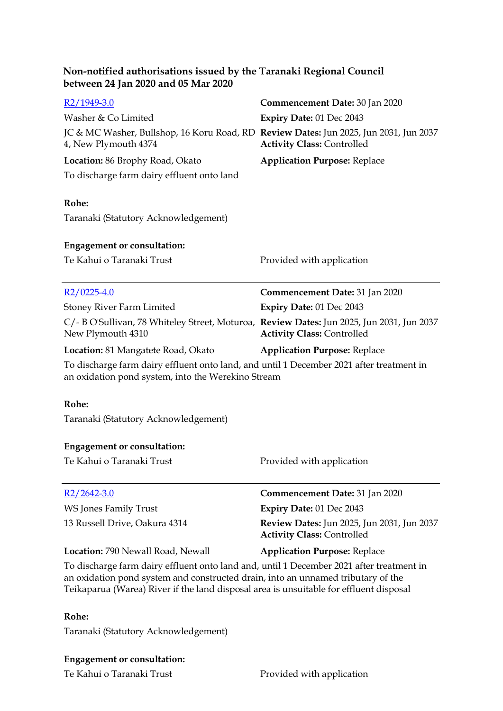| R <sub>2</sub> /1949-3.0<br>Washer & Co Limited<br>JC & MC Washer, Bullshop, 16 Koru Road, RD Review Dates: Jun 2025, Jun 2031, Jun 2037<br>4, New Plymouth 4374<br>Location: 86 Brophy Road, Okato<br>To discharge farm dairy effluent onto land                      | <b>Commencement Date: 30 Jan 2020</b><br>Expiry Date: 01 Dec 2043<br><b>Activity Class: Controlled</b><br><b>Application Purpose: Replace</b> |
|------------------------------------------------------------------------------------------------------------------------------------------------------------------------------------------------------------------------------------------------------------------------|-----------------------------------------------------------------------------------------------------------------------------------------------|
| Rohe:                                                                                                                                                                                                                                                                  |                                                                                                                                               |
| Taranaki (Statutory Acknowledgement)                                                                                                                                                                                                                                   |                                                                                                                                               |
| <b>Engagement or consultation:</b>                                                                                                                                                                                                                                     |                                                                                                                                               |
| Te Kahui o Taranaki Trust                                                                                                                                                                                                                                              | Provided with application                                                                                                                     |
| $R2/0225-4.0$                                                                                                                                                                                                                                                          | Commencement Date: 31 Jan 2020                                                                                                                |
| <b>Stoney River Farm Limited</b>                                                                                                                                                                                                                                       | Expiry Date: 01 Dec 2043                                                                                                                      |
| C/- B O'Sullivan, 78 Whiteley Street, Moturoa, Review Dates: Jun 2025, Jun 2031, Jun 2037<br>New Plymouth 4310                                                                                                                                                         | <b>Activity Class: Controlled</b>                                                                                                             |
| <b>Location:</b> 81 Mangatete Road, Okato                                                                                                                                                                                                                              | <b>Application Purpose: Replace</b>                                                                                                           |
| To discharge farm dairy effluent onto land, and until 1 December 2021 after treatment in<br>an oxidation pond system, into the Werekino Stream                                                                                                                         |                                                                                                                                               |
| Rohe:<br>Taranaki (Statutory Acknowledgement)                                                                                                                                                                                                                          |                                                                                                                                               |
| <b>Engagement or consultation:</b>                                                                                                                                                                                                                                     |                                                                                                                                               |
| Te Kahui o Taranaki Trust                                                                                                                                                                                                                                              | Provided with application                                                                                                                     |
| $R2/2642-3.0$                                                                                                                                                                                                                                                          | <b>Commencement Date: 31 Jan 2020</b>                                                                                                         |
| <b>WS Jones Family Trust</b>                                                                                                                                                                                                                                           | Expiry Date: 01 Dec 2043                                                                                                                      |
| 13 Russell Drive, Oakura 4314                                                                                                                                                                                                                                          | Review Dates: Jun 2025, Jun 2031, Jun 2037<br><b>Activity Class: Controlled</b>                                                               |
| Location: 790 Newall Road, Newall                                                                                                                                                                                                                                      | <b>Application Purpose: Replace</b>                                                                                                           |
| To discharge farm dairy effluent onto land and, until 1 December 2021 after treatment in<br>an oxidation pond system and constructed drain, into an unnamed tributary of the<br>Teikaparua (Warea) River if the land disposal area is unsuitable for effluent disposal |                                                                                                                                               |

# **Rohe:**

Taranaki (Statutory Acknowledgement)

# **Engagement or consultation:**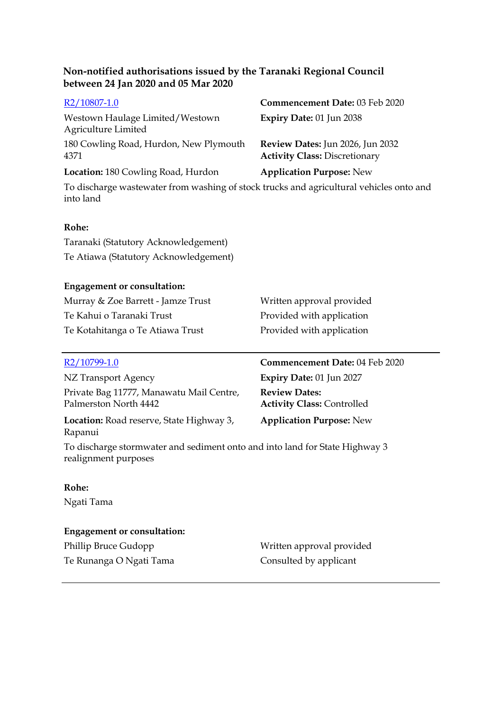| R <sub>2</sub> /10807-1.0                                                               | Commencement Date: 03 Feb 2020                                           |
|-----------------------------------------------------------------------------------------|--------------------------------------------------------------------------|
| Westown Haulage Limited/Westown<br>Agriculture Limited                                  | <b>Expiry Date: 01 Jun 2038</b>                                          |
| 180 Cowling Road, Hurdon, New Plymouth<br>4371                                          | Review Dates: Jun 2026, Jun 2032<br><b>Activity Class: Discretionary</b> |
| <b>Location:</b> 180 Cowling Road, Hurdon                                               | <b>Application Purpose: New</b>                                          |
| To discharge wastewater from washing of stock trucks and agricultural vehicles onto and |                                                                          |

**Rohe:**

into land

Taranaki (Statutory Acknowledgement) Te Atiawa (Statutory Acknowledgement)

# **Engagement or consultation:**

| Murray & Zoe Barrett - Jamze Trust | Written approval provided |
|------------------------------------|---------------------------|
| Te Kahui o Taranaki Trust          | Provided with application |
| Te Kotahitanga o Te Atiawa Trust   | Provided with application |

| R2/10799-1.0                                                      | Commencement Date: 04 Feb 2020                            |
|-------------------------------------------------------------------|-----------------------------------------------------------|
| NZ Transport Agency                                               | Expiry Date: 01 Jun 2027                                  |
| Private Bag 11777, Manawatu Mail Centre,<br>Palmerston North 4442 | <b>Review Dates:</b><br><b>Activity Class: Controlled</b> |
| Location: Road reserve, State Highway 3,<br>Rapanui               | <b>Application Purpose: New</b>                           |

To discharge stormwater and sediment onto and into land for State Highway 3 realignment purposes

#### **Rohe:**

Ngati Tama

# **Engagement or consultation:**

Phillip Bruce Gudopp Written approval provided Te Runanga O Ngati Tama Consulted by applicant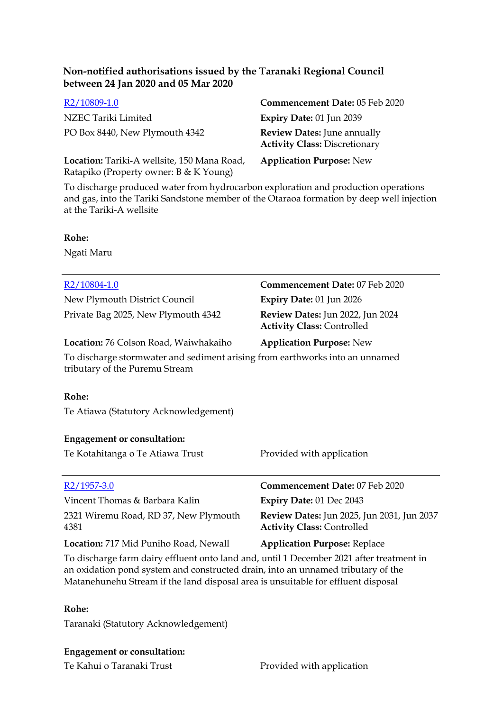| R <sub>2</sub> /10809-1.0                                                                                                       | <b>Commencement Date: 0</b>                                         |
|---------------------------------------------------------------------------------------------------------------------------------|---------------------------------------------------------------------|
| NZEC Tariki Limited                                                                                                             | Expiry Date: 01 Jun 2039                                            |
| PO Box 8440, New Plymouth 4342                                                                                                  | <b>Review Dates: June anni</b><br><b>Activity Class: Discretion</b> |
| $\mathbf{r}$ (a) and the state in the state of $\mathbf{r}$ and $\mathbf{r}$ and $\mathbf{r}$ and $\mathbf{r}$ and $\mathbf{r}$ |                                                                     |

**Location:** Tariki-A wellsite, 150 Mana Road, Ratapiko (Property owner: B & K Young)

**Date:** 05 Feb 2020 PO Box 8440, New Plymouth 4342 **Review Dates:** June annually **Activity Class:** Discretionary

**Application Purpose:** New

To discharge produced water from hydrocarbon exploration and production operations and gas, into the Tariki Sandstone member of the Otaraoa formation by deep well injection at the Tariki-A wellsite

#### **Rohe:**

Ngati Maru

| $R2/10804-1.0$                                                                                                 | Commencement Date: 07 Feb 2020                                                         |
|----------------------------------------------------------------------------------------------------------------|----------------------------------------------------------------------------------------|
| New Plymouth District Council                                                                                  | Expiry Date: 01 Jun 2026                                                               |
| Private Bag 2025, New Plymouth 4342                                                                            | Review Dates: Jun 2022, Jun 2024<br><b>Activity Class: Controlled</b>                  |
| Location: 76 Colson Road, Waiwhakaiho                                                                          | <b>Application Purpose: New</b>                                                        |
| To discharge stormwater and sediment arising from earthworks into an unnamed<br>tributary of the Puremu Stream |                                                                                        |
| Rohe:                                                                                                          |                                                                                        |
| Te Atiawa (Statutory Acknowledgement)                                                                          |                                                                                        |
| <b>Engagement or consultation:</b>                                                                             |                                                                                        |
| Te Kotahitanga o Te Atiawa Trust                                                                               | Provided with application                                                              |
| $R2/1957-3.0$                                                                                                  | Commencement Date: 07 Feb 2020                                                         |
| Vincent Thomas & Barbara Kalin                                                                                 | Expiry Date: 01 Dec 2043                                                               |
| 2321 Wiremu Road, RD 37, New Plymouth<br>4381                                                                  | <b>Review Dates: Jun 2025, Jun 2031, Jun 2037</b><br><b>Activity Class: Controlled</b> |
| Location: 717 Mid Puniho Road, Newall                                                                          | <b>Application Purpose: Replace</b>                                                    |
| To discharge farm dairy effluent onto land and until 1 December 2021 after treatment in                        |                                                                                        |

To discharge farm dairy effluent onto land and, until 1 December 2021 after treatment in an oxidation pond system and constructed drain, into an unnamed tributary of the Matanehunehu Stream if the land disposal area is unsuitable for effluent disposal

#### **Rohe:**

Taranaki (Statutory Acknowledgement)

#### **Engagement or consultation:**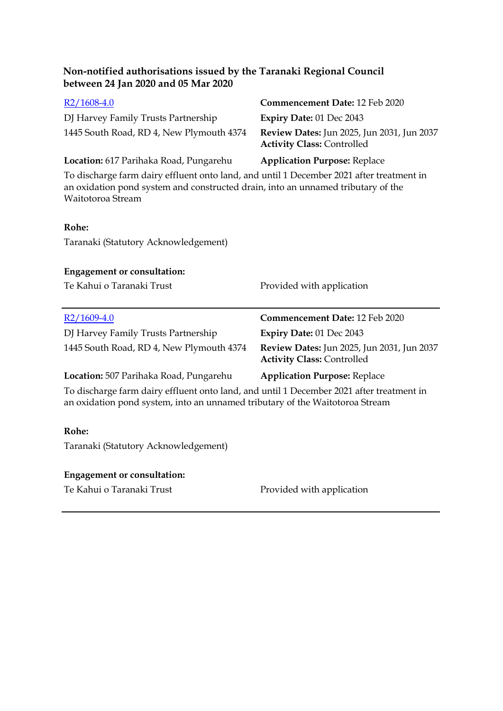| Non-notified authorisations issued by the Taranaki Regional Council<br>between 24 Jan 2020 and 05 Mar 2020                                                                                        |                                                                                 |
|---------------------------------------------------------------------------------------------------------------------------------------------------------------------------------------------------|---------------------------------------------------------------------------------|
| $R2/1608-4.0$                                                                                                                                                                                     | <b>Commencement Date: 12 Feb 2020</b>                                           |
| DJ Harvey Family Trusts Partnership                                                                                                                                                               | <b>Expiry Date: 01 Dec 2043</b>                                                 |
| 1445 South Road, RD 4, New Plymouth 4374                                                                                                                                                          | Review Dates: Jun 2025, Jun 2031, Jun 2037<br><b>Activity Class: Controlled</b> |
| Location: 617 Parihaka Road, Pungarehu                                                                                                                                                            | <b>Application Purpose: Replace</b>                                             |
| To discharge farm dairy effluent onto land, and until 1 December 2021 after treatment in<br>an oxidation pond system and constructed drain, into an unnamed tributary of the<br>Waitotoroa Stream |                                                                                 |
| Rohe:                                                                                                                                                                                             |                                                                                 |
| Taranaki (Statutory Acknowledgement)                                                                                                                                                              |                                                                                 |
| <b>Engagement or consultation:</b><br>Te Kahui o Taranaki Trust                                                                                                                                   | Provided with application                                                       |
| $R2/1609-4.0$                                                                                                                                                                                     | Commencement Date: 12 Feb 2020                                                  |
| DJ Harvey Family Trusts Partnership                                                                                                                                                               | <b>Expiry Date: 01 Dec 2043</b>                                                 |
| 1445 South Road, RD 4, New Plymouth 4374                                                                                                                                                          | Review Dates: Jun 2025, Jun 2031, Jun 2037<br><b>Activity Class: Controlled</b> |
| Location: 507 Parihaka Road, Pungarehu                                                                                                                                                            | <b>Application Purpose: Replace</b>                                             |
| To discharge farm dairy effluent onto land, and until 1 December 2021 after treatment in<br>an oxidation pond system, into an unnamed tributary of the Waitotoroa Stream                          |                                                                                 |
| Rohe:                                                                                                                                                                                             |                                                                                 |
| Taranaki (Statutory Acknowledgement)                                                                                                                                                              |                                                                                 |
|                                                                                                                                                                                                   |                                                                                 |
| <b>Engagement or consultation:</b><br>Te Kahui o Taranaki Trust                                                                                                                                   | Provided with application                                                       |
|                                                                                                                                                                                                   |                                                                                 |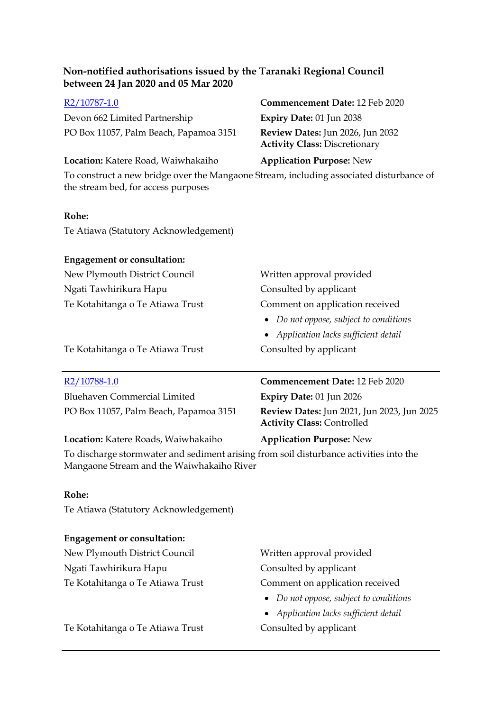Devon 662 Limited Partnership **Expiry Date:** 01 Jun 2038 PO Box 11057, Palm Beach, Papamoa 3151 **Review Dates:** Jun 2026, Jun 2032

# [R2/10787-1.0](https://irisprod.trc.govt.nz/IRISObjectRouter.aspx?IRISObjectID=788166) **Commencement Date:** 12 Feb 2020 **Activity Class:** Discretionary

### **Location:** Katere Road, Waiwhakaiho **Application Purpose:** New

To construct a new bridge over the Mangaone Stream, including associated disturbance of the stream bed, for access purposes

#### **Rohe:**

Te Atiawa (Statutory Acknowledgement)

| <b>Engagement or consultation:</b> |                                                   |
|------------------------------------|---------------------------------------------------|
| New Plymouth District Council      | Written approval provided                         |
| Ngati Tawhirikura Hapu             | Consulted by applicant                            |
| Te Kotahitanga o Te Atiawa Trust   | Comment on application received                   |
|                                    | Do not oppose, subject to conditions<br>$\bullet$ |
|                                    | • Application lacks sufficient detail             |
| Te Kotahitanga o Te Atiawa Trust   | Consulted by applicant                            |
|                                    |                                                   |
| R <sub>2</sub> /10788-1.0          | Commencement Date: 12 Feb 2020                    |

| <b>Bluehaven Commercial Limited</b>    | Expiry Date: $01$ Jun 2026                                                             |
|----------------------------------------|----------------------------------------------------------------------------------------|
| PO Box 11057, Palm Beach, Papamoa 3151 | <b>Review Dates:</b> Jun 2021, Jun 2023, Jun 2025<br><b>Activity Class: Controlled</b> |

#### **Location:** Katere Roads, Waiwhakaiho **Application Purpose:** New

To discharge stormwater and sediment arising from soil disturbance activities into the Mangaone Stream and the Waiwhakaiho River

#### **Rohe:**

Te Atiawa (Statutory Acknowledgement)

# **Engagement or consultation:**

New Plymouth District Council Written approval provided Ngati Tawhirikura Hapu Consulted by applicant Te Kotahitanga o Te Atiawa Trust Comment on application received

*Do not oppose, subject to conditions*

*Application lacks sufficient detail*

Te Kotahitanga o Te Atiawa Trust Consulted by applicant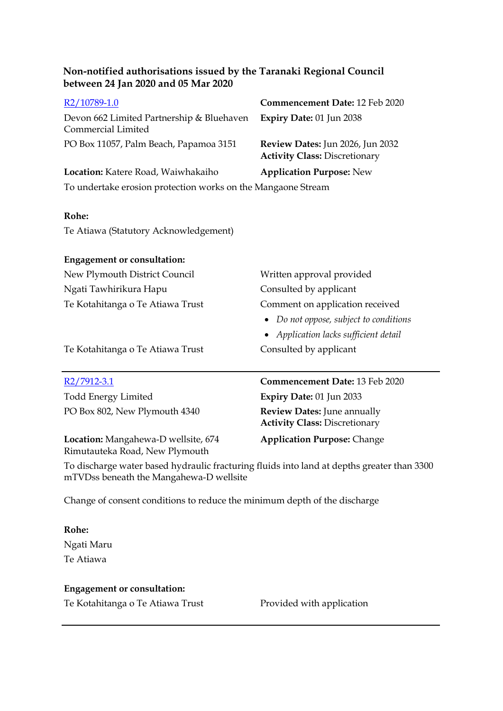| R2/10789-1.0                                                    | Commencement Date: 12 Feb 2020                                           |
|-----------------------------------------------------------------|--------------------------------------------------------------------------|
| Devon 662 Limited Partnership & Bluehaven<br>Commercial Limited | Expiry Date: 01 Jun 2038                                                 |
| PO Box 11057, Palm Beach, Papamoa 3151                          | Review Dates: Jun 2026, Jun 2032<br><b>Activity Class: Discretionary</b> |
| Location: Katere Road, Waiwhakaiho                              | <b>Application Purpose: New</b>                                          |
| To undertake erosion protection works on the Mangaone Stream    |                                                                          |
|                                                                 |                                                                          |
| Rohe:                                                           |                                                                          |

Te Atiawa (Statutory Acknowledgement)

| <b>Engagement or consultation:</b> |                                        |
|------------------------------------|----------------------------------------|
| New Plymouth District Council      | Written approval provided              |
| Ngati Tawhirikura Hapu             | Consulted by applicant                 |
| Te Kotahitanga o Te Atiawa Trust   | Comment on application received        |
|                                    | • Do not oppose, subject to conditions |
|                                    | • Application lacks sufficient detail  |
| Te Kotahitanga o Te Atiawa Trust   | Consulted by applicant                 |
|                                    |                                        |
| R2/7912-3.1                        | Commencement Date: 13 Feb 2020         |
|                                    |                                        |

Todd Energy Limited **Expiry Date:** 01 Jun 2033 PO Box 802, New Plymouth 4340 **Review Dates:** June annually

**Location:** Mangahewa-D wellsite, 674 Rimutauteka Road, New Plymouth

**Activity Class:** Discretionary

**Application Purpose:** Change

To discharge water based hydraulic fracturing fluids into land at depths greater than 3300 mTVDss beneath the Mangahewa-D wellsite

Change of consent conditions to reduce the minimum depth of the discharge

**Rohe:** Ngati Maru Te Atiawa

**Engagement or consultation:**

Te Kotahitanga o Te Atiawa Trust Provided with application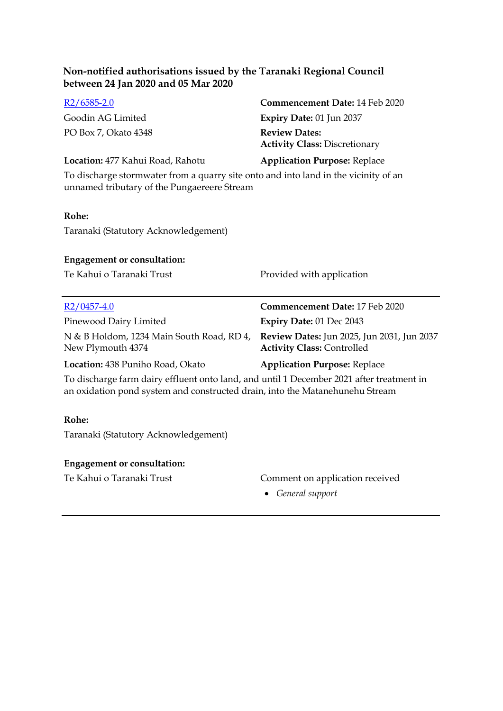| $R2/6585-2.0$                    | <b>Commencement Date: 14 Feb 2020</b>                        |
|----------------------------------|--------------------------------------------------------------|
| Goodin AG Limited                | <b>Expiry Date: 01 Jun 2037</b>                              |
| PO Box 7, Okato 4348             | <b>Review Dates:</b><br><b>Activity Class: Discretionary</b> |
| Location: 477 Kahui Road, Rahotu | <b>Application Purpose: Replace</b>                          |

To discharge stormwater from a quarry site onto and into land in the vicinity of an unnamed tributary of the Pungaereere Stream

#### **Rohe:**

Taranaki (Statutory Acknowledgement)

#### **Engagement or consultation:**

Te Kahui o Taranaki Trust Provided with application

| $R2/0457-4.0$                                                  | <b>Commencement Date: 17 Feb 2020</b>                                                  |
|----------------------------------------------------------------|----------------------------------------------------------------------------------------|
| Pinewood Dairy Limited                                         | <b>Expiry Date: 01 Dec 2043</b>                                                        |
| N & B Holdom, 1234 Main South Road, RD 4,<br>New Plymouth 4374 | <b>Review Dates:</b> Jun 2025, Jun 2031, Jun 2037<br><b>Activity Class: Controlled</b> |
| Location: 438 Puniho Road, Okato                               | <b>Application Purpose: Replace</b>                                                    |

To discharge farm dairy effluent onto land, and until 1 December 2021 after treatment in an oxidation pond system and constructed drain, into the Matanehunehu Stream

#### **Rohe:**

Taranaki (Statutory Acknowledgement)

#### **Engagement or consultation:**

# Te Kahui o Taranaki Trust Comment on application received

*General support*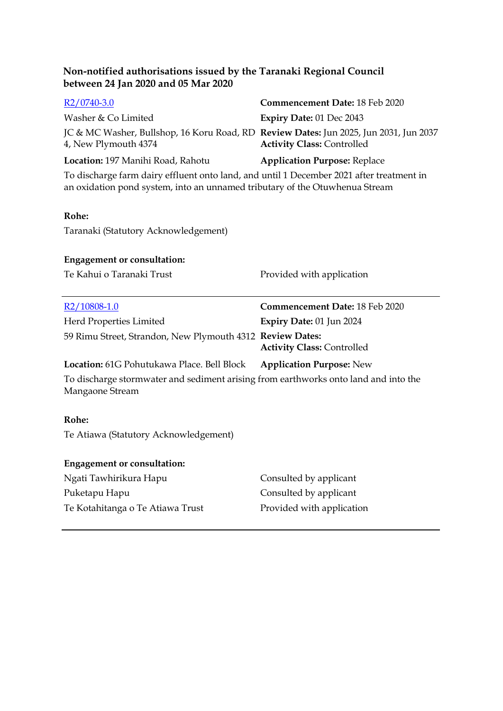| $R2/0740-3.0$                                                                                                                                                           | Commencement Date: 18 Feb 2020      |
|-------------------------------------------------------------------------------------------------------------------------------------------------------------------------|-------------------------------------|
| Washer & Co Limited                                                                                                                                                     | Expiry Date: 01 Dec 2043            |
| JC & MC Washer, Bullshop, 16 Koru Road, RD Review Dates: Jun 2025, Jun 2031, Jun 2037<br>4, New Plymouth 4374                                                           | <b>Activity Class: Controlled</b>   |
| Location: 197 Manihi Road, Rahotu                                                                                                                                       | <b>Application Purpose: Replace</b> |
| To discharge farm dairy effluent onto land, and until 1 December 2021 after treatment in<br>an oxidation pond system, into an unnamed tributary of the Otuwhenua Stream |                                     |
| Rohe:                                                                                                                                                                   |                                     |
| Taranaki (Statutory Acknowledgement)                                                                                                                                    |                                     |
|                                                                                                                                                                         |                                     |
| <b>Engagement or consultation:</b>                                                                                                                                      |                                     |
| Te Kahui o Taranaki Trust                                                                                                                                               | Provided with application           |
| $R2/10808-1.0$                                                                                                                                                          | Commencement Date: 18 Feb 2020      |
| Herd Properties Limited                                                                                                                                                 | Expiry Date: 01 Jun 2024            |
| 59 Rimu Street, Strandon, New Plymouth 4312 Review Dates:                                                                                                               | <b>Activity Class: Controlled</b>   |
| Location: 61G Pohutukawa Place. Bell Block                                                                                                                              | <b>Application Purpose: New</b>     |
| To discharge stormwater and sediment arising from earthworks onto land and into the<br>Mangaone Stream                                                                  |                                     |
| Rohe:                                                                                                                                                                   |                                     |
| Te Atiawa (Statutory Acknowledgement)                                                                                                                                   |                                     |
| <b>Engagement or consultation:</b>                                                                                                                                      |                                     |
| Ngati Tawhirikura Hapu                                                                                                                                                  | Consulted by applicant              |
| Puketapu Hapu                                                                                                                                                           | Consulted by applicant              |
| Te Kotahitanga o Te Atiawa Trust                                                                                                                                        | Provided with application           |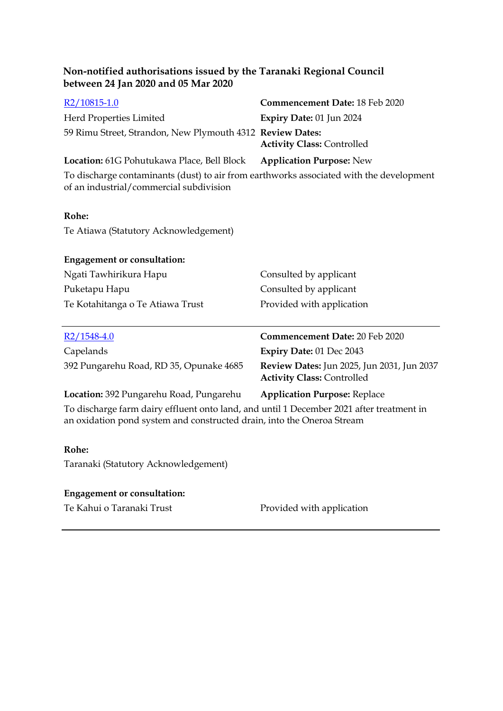| Non-notified authorisations issued by the Taranaki Regional Council<br>between 24 Jan 2020 and 05 Mar 2020                         |                                                                                 |
|------------------------------------------------------------------------------------------------------------------------------------|---------------------------------------------------------------------------------|
| R <sub>2</sub> /10815-1.0                                                                                                          | <b>Commencement Date: 18 Feb 2020</b>                                           |
| Herd Properties Limited                                                                                                            | Expiry Date: 01 Jun 2024                                                        |
| 59 Rimu Street, Strandon, New Plymouth 4312 Review Dates:                                                                          | <b>Activity Class: Controlled</b>                                               |
| Location: 61G Pohutukawa Place, Bell Block                                                                                         | <b>Application Purpose: New</b>                                                 |
| To discharge contaminants (dust) to air from earthworks associated with the development<br>of an industrial/commercial subdivision |                                                                                 |
| Rohe:                                                                                                                              |                                                                                 |
| Te Atiawa (Statutory Acknowledgement)                                                                                              |                                                                                 |
| <b>Engagement or consultation:</b>                                                                                                 |                                                                                 |
| Ngati Tawhirikura Hapu                                                                                                             | Consulted by applicant                                                          |
| Puketapu Hapu                                                                                                                      | Consulted by applicant                                                          |
| Te Kotahitanga o Te Atiawa Trust                                                                                                   | Provided with application                                                       |
|                                                                                                                                    |                                                                                 |
| $R2/1548-4.0$                                                                                                                      | Commencement Date: 20 Feb 2020                                                  |
| Capelands                                                                                                                          | Expiry Date: 01 Dec 2043                                                        |
| 392 Pungarehu Road, RD 35, Opunake 4685                                                                                            | Review Dates: Jun 2025, Jun 2031, Jun 2037<br><b>Activity Class: Controlled</b> |

**Location:** 392 Pungarehu Road, Pungarehu **Application Purpose:** Replace To discharge farm dairy effluent onto land, and until 1 December 2021 after treatment in an oxidation pond system and constructed drain, into the Oneroa Stream

#### **Rohe:**

Taranaki (Statutory Acknowledgement)

#### **Engagement or consultation:**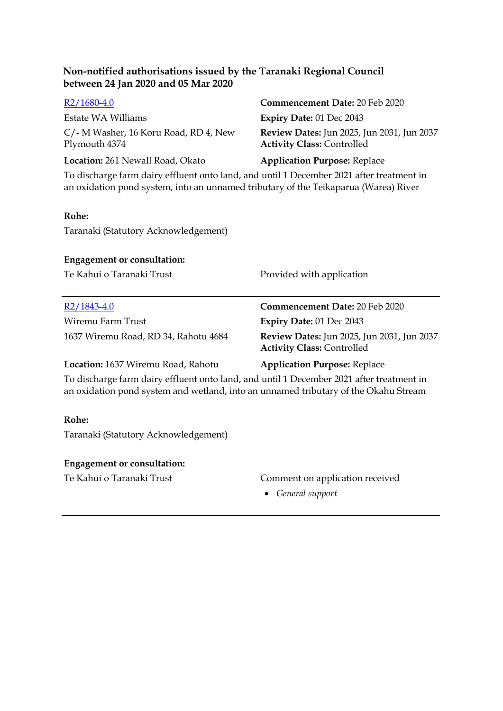| $R2/1680-4.0$                                                                                                                                                                   | Commencement Date: 20 Feb 2020                                                         |
|---------------------------------------------------------------------------------------------------------------------------------------------------------------------------------|----------------------------------------------------------------------------------------|
| Estate WA Williams                                                                                                                                                              | <b>Expiry Date: 01 Dec 2043</b>                                                        |
| C/- M Washer, 16 Koru Road, RD 4, New<br>Plymouth 4374                                                                                                                          | <b>Review Dates:</b> Jun 2025, Jun 2031, Jun 2037<br><b>Activity Class: Controlled</b> |
| Location: 261 Newall Road, Okato                                                                                                                                                | <b>Application Purpose: Replace</b>                                                    |
| To discharge farm dairy effluent onto land, and until 1 December 2021 after treatment in<br>an oxidation pond system, into an unnamed tributary of the Teikaparua (Warea) River |                                                                                        |
| Rohe:                                                                                                                                                                           |                                                                                        |
| Taranaki (Statutory Acknowledgement)                                                                                                                                            |                                                                                        |
| <b>Engagement or consultation:</b>                                                                                                                                              |                                                                                        |
| Te Kahui o Taranaki Trust                                                                                                                                                       | Provided with application                                                              |
|                                                                                                                                                                                 |                                                                                        |
| $R2/1843-4.0$                                                                                                                                                                   | <b>Commencement Date: 20 Feb 2020</b>                                                  |
| Wiremu Farm Trust                                                                                                                                                               | <b>Expiry Date: 01 Dec 2043</b>                                                        |
| 1637 Wiremu Road, RD 34, Rahotu 4684                                                                                                                                            | <b>Review Dates:</b> Jun 2025, Jun 2031, Jun 2037<br><b>Activity Class: Controlled</b> |
| Location: 1637 Wiremu Road, Rahotu                                                                                                                                              | <b>Application Purpose: Replace</b>                                                    |

To discharge farm dairy effluent onto land, and until 1 December 2021 after treatment in an oxidation pond system and wetland, into an unnamed tributary of the Okahu Stream

#### **Rohe:**

Taranaki (Statutory Acknowledgement)

#### **Engagement or consultation:**

# Te Kahui o Taranaki Trust Comment on application received

*General support*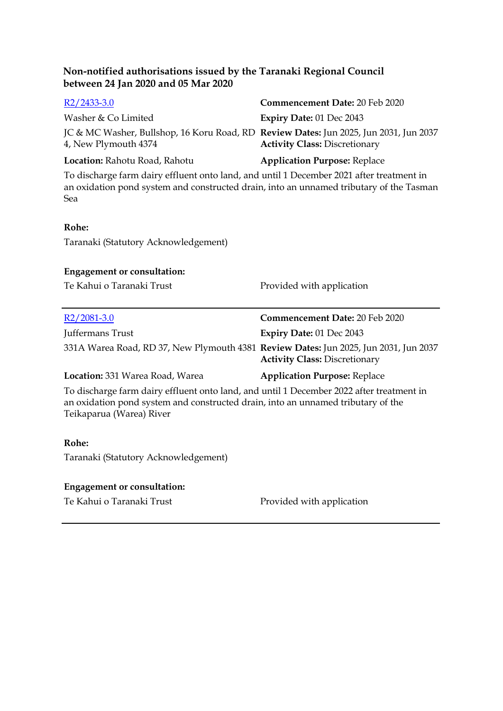| $R2/2433-3.0$                                                                                                                                                                                            | Commencement Date: 20 Feb 2020       |
|----------------------------------------------------------------------------------------------------------------------------------------------------------------------------------------------------------|--------------------------------------|
| Washer & Co Limited                                                                                                                                                                                      | Expiry Date: 01 Dec 2043             |
| JC & MC Washer, Bullshop, 16 Koru Road, RD Review Dates: Jun 2025, Jun 2031, Jun 2037<br>4, New Plymouth 4374                                                                                            | <b>Activity Class: Discretionary</b> |
| Location: Rahotu Road, Rahotu                                                                                                                                                                            | <b>Application Purpose: Replace</b>  |
| To discharge farm dairy effluent onto land, and until 1 December 2021 after treatment in<br>an oxidation pond system and constructed drain, into an unnamed tributary of the Tasman<br>Sea               |                                      |
| Rohe:                                                                                                                                                                                                    |                                      |
| Taranaki (Statutory Acknowledgement)                                                                                                                                                                     |                                      |
|                                                                                                                                                                                                          |                                      |
| <b>Engagement or consultation:</b>                                                                                                                                                                       |                                      |
| Te Kahui o Taranaki Trust                                                                                                                                                                                | Provided with application            |
|                                                                                                                                                                                                          |                                      |
|                                                                                                                                                                                                          |                                      |
| $R2/2081-3.0$                                                                                                                                                                                            | Commencement Date: 20 Feb 2020       |
| Juffermans Trust                                                                                                                                                                                         | Expiry Date: 01 Dec 2043             |
| 331A Warea Road, RD 37, New Plymouth 4381 Review Dates: Jun 2025, Jun 2031, Jun 2037                                                                                                                     | <b>Activity Class: Discretionary</b> |
| Location: 331 Warea Road, Warea                                                                                                                                                                          | <b>Application Purpose: Replace</b>  |
| To discharge farm dairy effluent onto land, and until 1 December 2022 after treatment in<br>an oxidation pond system and constructed drain, into an unnamed tributary of the<br>Teikaparua (Warea) River |                                      |
| Rohe:                                                                                                                                                                                                    |                                      |
| Taranaki (Statutory Acknowledgement)                                                                                                                                                                     |                                      |
| <b>Engagement or consultation:</b>                                                                                                                                                                       |                                      |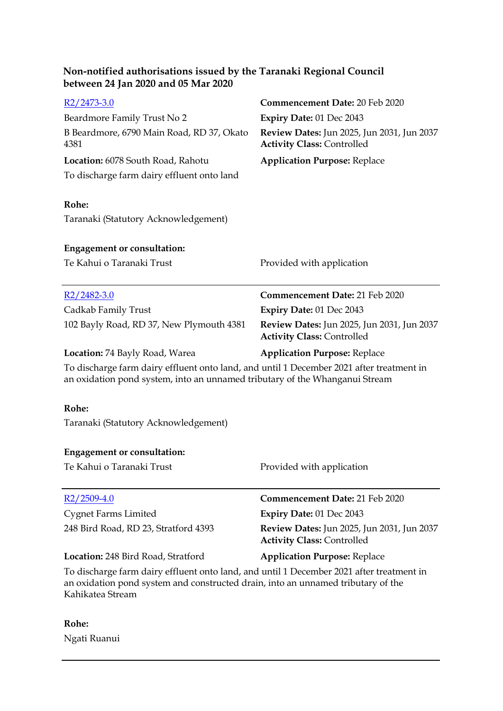| $R2/2473-3.0$<br>Beardmore Family Trust No 2<br>B Beardmore, 6790 Main Road, RD 37, Okato<br>4381<br>Location: 6078 South Road, Rahotu<br>To discharge farm dairy effluent onto land<br>Rohe:    | <b>Commencement Date: 20 Feb 2020</b><br>Expiry Date: 01 Dec 2043<br>Review Dates: Jun 2025, Jun 2031, Jun 2037<br><b>Activity Class: Controlled</b><br><b>Application Purpose: Replace</b> |  |
|--------------------------------------------------------------------------------------------------------------------------------------------------------------------------------------------------|---------------------------------------------------------------------------------------------------------------------------------------------------------------------------------------------|--|
| Taranaki (Statutory Acknowledgement)                                                                                                                                                             |                                                                                                                                                                                             |  |
| <b>Engagement or consultation:</b>                                                                                                                                                               |                                                                                                                                                                                             |  |
| Te Kahui o Taranaki Trust                                                                                                                                                                        | Provided with application                                                                                                                                                                   |  |
| $R2/2482-3.0$                                                                                                                                                                                    | Commencement Date: 21 Feb 2020                                                                                                                                                              |  |
| Cadkab Family Trust                                                                                                                                                                              | Expiry Date: 01 Dec 2043                                                                                                                                                                    |  |
| 102 Bayly Road, RD 37, New Plymouth 4381                                                                                                                                                         | Review Dates: Jun 2025, Jun 2031, Jun 2037<br><b>Activity Class: Controlled</b>                                                                                                             |  |
| Location: 74 Bayly Road, Warea                                                                                                                                                                   | <b>Application Purpose: Replace</b>                                                                                                                                                         |  |
| To discharge farm dairy effluent onto land, and until 1 December 2021 after treatment in<br>an oxidation pond system, into an unnamed tributary of the Whanganui Stream                          |                                                                                                                                                                                             |  |
| Rohe:                                                                                                                                                                                            |                                                                                                                                                                                             |  |
| Taranaki (Statutory Acknowledgement)                                                                                                                                                             |                                                                                                                                                                                             |  |
| <b>Engagement or consultation:</b>                                                                                                                                                               |                                                                                                                                                                                             |  |
| Te Kahui o Taranaki Trust                                                                                                                                                                        | Provided with application                                                                                                                                                                   |  |
| $R2/2509-4.0$                                                                                                                                                                                    | <b>Commencement Date: 21 Feb 2020</b>                                                                                                                                                       |  |
| <b>Cygnet Farms Limited</b>                                                                                                                                                                      | Expiry Date: 01 Dec 2043                                                                                                                                                                    |  |
| 248 Bird Road, RD 23, Stratford 4393                                                                                                                                                             | <b>Review Dates:</b> Jun 2025, Jun 2031, Jun 2037<br><b>Activity Class: Controlled</b>                                                                                                      |  |
| Location: 248 Bird Road, Stratford                                                                                                                                                               | <b>Application Purpose: Replace</b>                                                                                                                                                         |  |
| To discharge farm dairy effluent onto land, and until 1 December 2021 after treatment in<br>an oxidation pond system and constructed drain, into an unnamed tributary of the<br>Kahikatea Stream |                                                                                                                                                                                             |  |

**Rohe:** Ngati Ruanui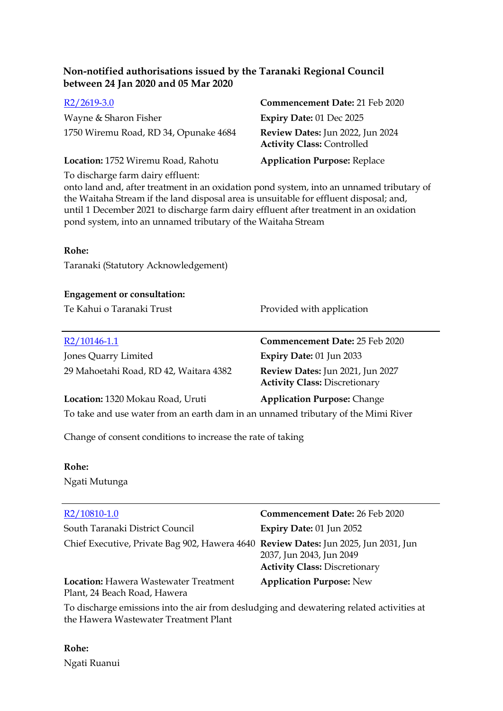| $R2/2619-3.0$                         | Commencement Date: 21 Feb 2020                                        |
|---------------------------------------|-----------------------------------------------------------------------|
| Wayne & Sharon Fisher                 | Expiry Date: 01 Dec 2025                                              |
| 1750 Wiremu Road, RD 34, Opunake 4684 | Review Dates: Jun 2022, Jun 2024<br><b>Activity Class: Controlled</b> |
| Location: 1752 Wiremu Road, Rahotu    | <b>Application Purpose: Replace</b>                                   |

To discharge farm dairy effluent:

onto land and, after treatment in an oxidation pond system, into an unnamed tributary of the Waitaha Stream if the land disposal area is unsuitable for effluent disposal; and, until 1 December 2021 to discharge farm dairy effluent after treatment in an oxidation pond system, into an unnamed tributary of the Waitaha Stream

#### **Rohe:**

Taranaki (Statutory Acknowledgement)

# **Engagement or consultation:**

Te Kahui o Taranaki Trust Provided with application

| $R2/10146-1.1$                                                                        | Commencement Date: 25 Feb 2020                                           |
|---------------------------------------------------------------------------------------|--------------------------------------------------------------------------|
| Jones Quarry Limited                                                                  | Expiry Date: 01 Jun 2033                                                 |
| 29 Mahoetahi Road, RD 42, Waitara 4382                                                | Review Dates: Jun 2021, Jun 2027<br><b>Activity Class: Discretionary</b> |
| Location: 1320 Mokau Road, Uruti                                                      | <b>Application Purpose: Change</b>                                       |
| To take and we waster from an earth dam in an waster and tributant of the Mind Disser |                                                                          |

To take and use water from an earth dam in an unnamed tributary of the Mimi River

Change of consent conditions to increase the rate of taking

#### **Rohe:**

Ngati Mutunga

| R2/10810-1.0                                                                        | Commencement Date: 26 Feb 2020                                   |
|-------------------------------------------------------------------------------------|------------------------------------------------------------------|
| South Taranaki District Council                                                     | <b>Expiry Date: 01 Jun 2052</b>                                  |
| Chief Executive, Private Bag 902, Hawera 4640 Review Dates: Jun 2025, Jun 2031, Jun | 2037, Jun 2043, Jun 2049<br><b>Activity Class: Discretionary</b> |
| <b>Location: Hawera Wastewater Treatment</b><br>Plant, 24 Beach Road, Hawera        | <b>Application Purpose: New</b>                                  |

To discharge emissions into the air from desludging and dewatering related activities at the Hawera Wastewater Treatment Plant

**Rohe:** Ngati Ruanui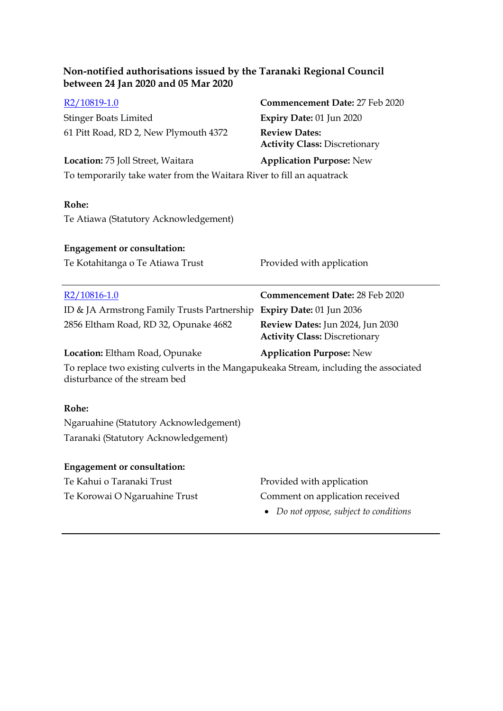| Non-notified authorisations issued by the Taranaki Regional Council<br>between 24 Jan 2020 and 05 Mar 2020             |                                                                          |  |
|------------------------------------------------------------------------------------------------------------------------|--------------------------------------------------------------------------|--|
| R <sub>2</sub> /10819-1.0                                                                                              | Commencement Date: 27 Feb 2020                                           |  |
| <b>Stinger Boats Limited</b>                                                                                           | Expiry Date: 01 Jun 2020                                                 |  |
| 61 Pitt Road, RD 2, New Plymouth 4372                                                                                  | <b>Review Dates:</b><br><b>Activity Class: Discretionary</b>             |  |
| Location: 75 Joll Street, Waitara                                                                                      | <b>Application Purpose: New</b>                                          |  |
| To temporarily take water from the Waitara River to fill an aquatrack                                                  |                                                                          |  |
| Rohe:<br>Te Atiawa (Statutory Acknowledgement)                                                                         |                                                                          |  |
| <b>Engagement or consultation:</b>                                                                                     |                                                                          |  |
| Te Kotahitanga o Te Atiawa Trust                                                                                       | Provided with application                                                |  |
|                                                                                                                        |                                                                          |  |
| $R2/10816-1.0$                                                                                                         | <b>Commencement Date: 28 Feb 2020</b>                                    |  |
| ID & JA Armstrong Family Trusts Partnership                                                                            | <b>Expiry Date: 01 Jun 2036</b>                                          |  |
| 2856 Eltham Road, RD 32, Opunake 4682                                                                                  | Review Dates: Jun 2024, Jun 2030<br><b>Activity Class: Discretionary</b> |  |
| Location: Eltham Road, Opunake                                                                                         |                                                                          |  |
|                                                                                                                        | <b>Application Purpose: New</b>                                          |  |
| To replace two existing culverts in the Mangapukeaka Stream, including the associated<br>disturbance of the stream bed |                                                                          |  |
| Rohe:                                                                                                                  |                                                                          |  |
| Ngaruahine (Statutory Acknowledgement)                                                                                 |                                                                          |  |
| Taranaki (Statutory Acknowledgement)                                                                                   |                                                                          |  |
|                                                                                                                        |                                                                          |  |
| <b>Engagement or consultation:</b>                                                                                     |                                                                          |  |
| Te Kahui o Taranaki Trust                                                                                              | Provided with application                                                |  |
| Te Korowai O Ngaruahine Trust                                                                                          | Comment on application received<br>Do not oppose, subject to conditions  |  |